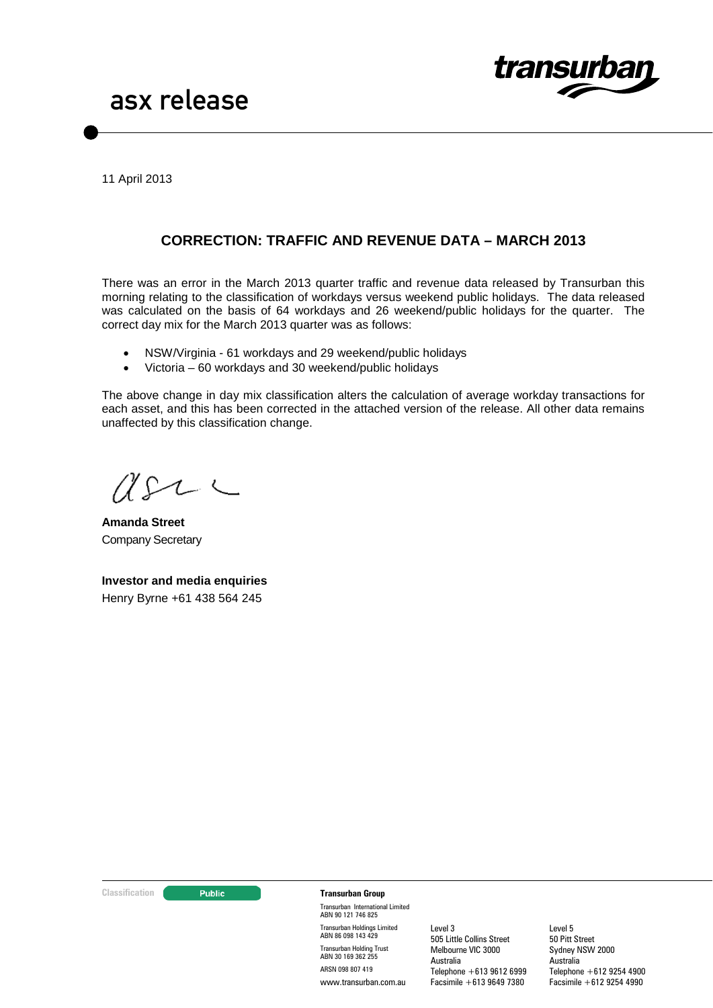

11 April 2013

# **CORRECTION: TRAFFIC AND REVENUE DATA – MARCH 2013**

There was an error in the March 2013 quarter traffic and revenue data released by Transurban this morning relating to the classification of workdays versus weekend public holidays. The data released was calculated on the basis of 64 workdays and 26 weekend/public holidays for the quarter. The correct day mix for the March 2013 quarter was as follows:

- NSW/Virginia 61 workdays and 29 weekend/public holidays
- Victoria 60 workdays and 30 weekend/public holidays

The above change in day mix classification alters the calculation of average workday transactions for each asset, and this has been corrected in the attached version of the release. All other data remains unaffected by this classification change.

(L)

**Amanda Street** Company Secretary

**Investor and media enquiries** Henry Byrne +61 438 564 245

#### **Classification Transurban Group**

Transurban International Limited ABN 90 121 746 825 Transurban Holdings Limited ABN 86 098 143 429 Transurban Holding Trust ABN 30 169 362 255 ARSN 098 807 419 www.transurban.com.au

Level 3 505 Little Collins Street Melbourne VIC 3000 Australia Telephone +613 9612 6999 Facsimile +613 9649 7380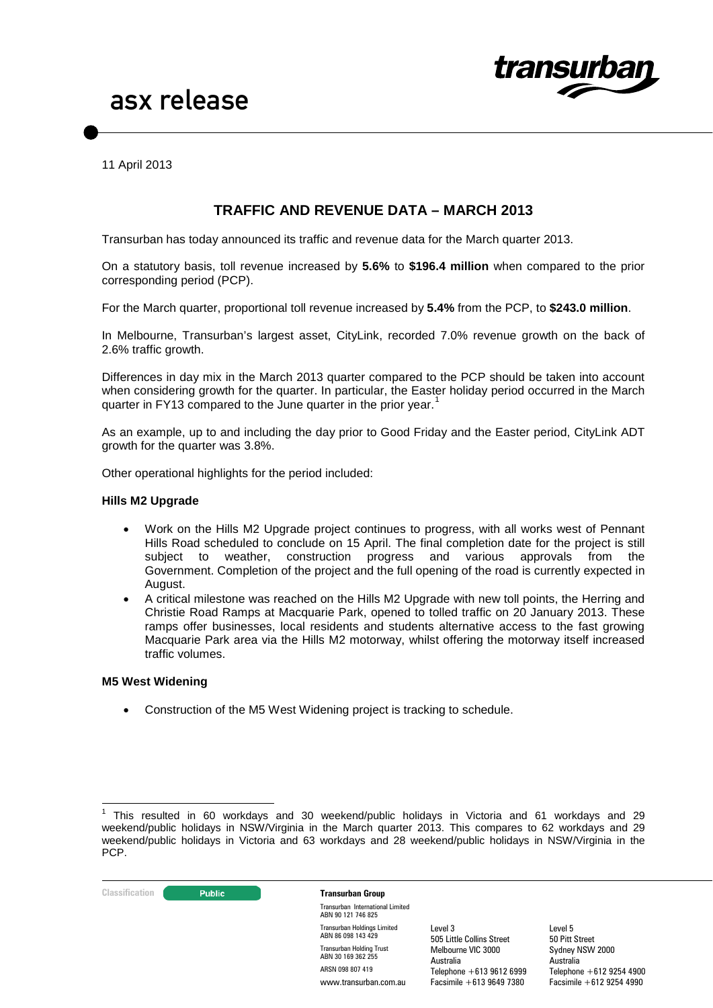

11 April 2013

## **TRAFFIC AND REVENUE DATA – MARCH 2013**

Transurban has today announced its traffic and revenue data for the March quarter 2013.

On a statutory basis, toll revenue increased by **5.6%** to **\$196.4 million** when compared to the prior corresponding period (PCP).

For the March quarter, proportional toll revenue increased by **5.4%** from the PCP, to **\$243.0 million**.

In Melbourne, Transurban's largest asset, CityLink, recorded 7.0% revenue growth on the back of 2.6% traffic growth.

Differences in day mix in the March 2013 quarter compared to the PCP should be taken into account when considering growth for the quarter. In particular, the Easter holiday period occurred in the March quarter in FY[1](#page-1-0)3 compared to the June quarter in the prior year.<sup>1</sup>

As an example, up to and including the day prior to Good Friday and the Easter period, CityLink ADT growth for the quarter was 3.8%.

Other operational highlights for the period included:

#### **Hills M2 Upgrade**

- Work on the Hills M2 Upgrade project continues to progress, with all works west of Pennant Hills Road scheduled to conclude on 15 April. The final completion date for the project is still subject to weather, construction progress and various approvals from the Government. Completion of the project and the full opening of the road is currently expected in August.
- A critical milestone was reached on the Hills M2 Upgrade with new toll points, the Herring and Christie Road Ramps at Macquarie Park, opened to tolled traffic on 20 January 2013. These ramps offer businesses, local residents and students alternative access to the fast growing Macquarie Park area via the Hills M2 motorway, whilst offering the motorway itself increased traffic volumes.

#### **M5 West Widening**

• Construction of the M5 West Widening project is tracking to schedule.

<span id="page-1-0"></span><sup>1</sup> This resulted in 60 workdays and 30 weekend/public holidays in Victoria and 61 workdays and 29 weekend/public holidays in NSW/Virginia in the March quarter 2013. This compares to 62 workdays and 29 weekend/public holidays in Victoria and 63 workdays and 28 weekend/public holidays in NSW/Virginia in the PCP.



Transurban International Limited ABN 90 121 746 825 Transurban Holdings Limited ABN 86 098 143 429 Transurban Holding Trust ABN 30 169 362 255 ARSN 098 807 419 www.transurban.com.au

Level 3 505 Little Collins Street Melbourne VIC 3000 Australia Telephone +613 9612 6999 Facsimile +613 9649 7380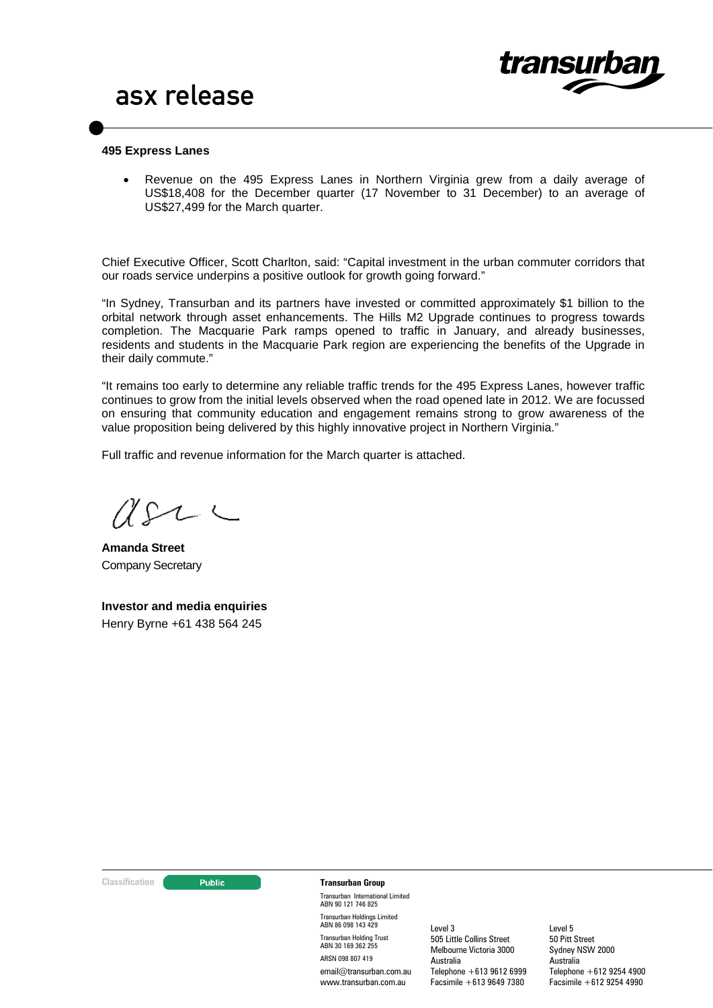

#### **495 Express Lanes**

• Revenue on the 495 Express Lanes in Northern Virginia grew from a daily average of US\$18,408 for the December quarter (17 November to 31 December) to an average of US\$27,499 for the March quarter.

Chief Executive Officer, Scott Charlton, said: "Capital investment in the urban commuter corridors that our roads service underpins a positive outlook for growth going forward."

"In Sydney, Transurban and its partners have invested or committed approximately \$1 billion to the orbital network through asset enhancements. The Hills M2 Upgrade continues to progress towards completion. The Macquarie Park ramps opened to traffic in January, and already businesses, residents and students in the Macquarie Park region are experiencing the benefits of the Upgrade in their daily commute."

"It remains too early to determine any reliable traffic trends for the 495 Express Lanes, however traffic continues to grow from the initial levels observed when the road opened late in 2012. We are focussed on ensuring that community education and engagement remains strong to grow awareness of the value proposition being delivered by this highly innovative project in Northern Virginia."

Full traffic and revenue information for the March quarter is attached.

**Amanda Street** Company Secretary

**Investor and media enquiries** Henry Byrne +61 438 564 245

#### **Classification Construction Transurban Group**

Transurban International Limited ABN 90 121 746 825 Transurban Holdings Limited ABN 86 098 143 429 Transurban Holding Trust ABN 30 169 362 255 ARSN 098 807 419 email@transurban.com.au www.transurban.com.au

Level 3 505 Little Collins Street Melbourne Victoria 3000 Australia Telephone +613 9612 6999 Facsimile +613 9649 7380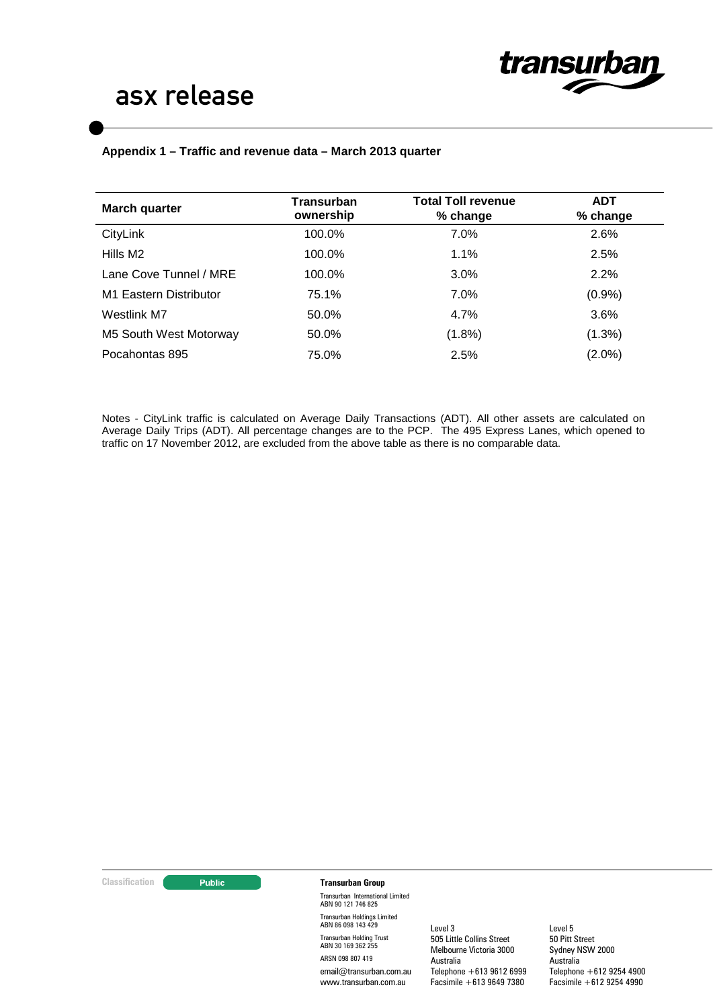

### **Appendix 1 – Traffic and revenue data – March 2013 quarter**

| March quarter          | Transurban<br>ownership | <b>Total Toll revenue</b><br>% change | <b>ADT</b><br>% change |  |
|------------------------|-------------------------|---------------------------------------|------------------------|--|
| CityLink               | 100.0%                  | 7.0%                                  | 2.6%                   |  |
| Hills M2               | 100.0%                  | 1.1%                                  | 2.5%                   |  |
| Lane Cove Tunnel / MRE | 100.0%                  | 3.0%                                  | 2.2%                   |  |
| M1 Eastern Distributor | 75.1%                   | 7.0%                                  | (0.9%                  |  |
| Westlink M7            | 50.0%                   | 4.7%                                  | 3.6%                   |  |
| M5 South West Motorway | 50.0%                   | $(1.8\%)$                             | (1.3%)                 |  |
| Pocahontas 895         | 75.0%                   | 2.5%                                  | $(2.0\%)$              |  |

Notes - CityLink traffic is calculated on Average Daily Transactions (ADT). All other assets are calculated on Average Daily Trips (ADT). All percentage changes are to the PCP. The 495 Express Lanes, which opened to traffic on 17 November 2012, are excluded from the above table as there is no comparable data.

#### **Classification Transurban Group**

Transurban International Limited ABN 90 121 746 825 Transurban Holdings Limited ABN 86 098 143 429 Transurban Holding Trust ABN 30 169 362 255 ARSN 098 807 419 email@transurban.com.au www.transurban.com.au

Level 3 505 Little Collins Street Melbourne Victoria 3000 Australia Telephone +613 9612 6999 Facsimile +613 9649 7380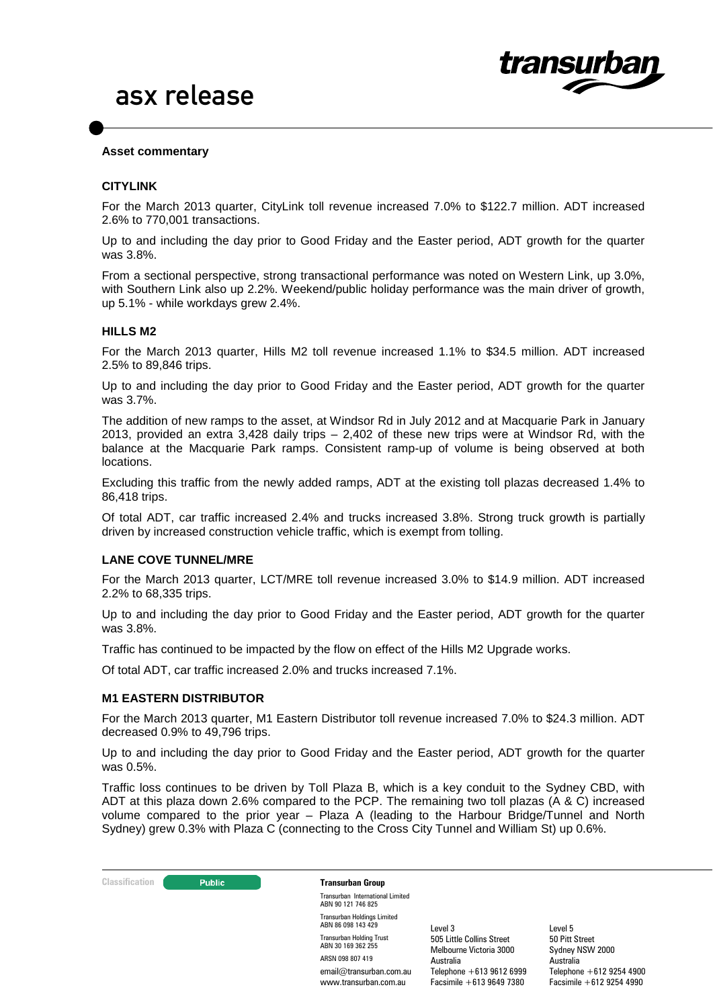

#### **Asset commentary**

#### **CITYLINK**

For the March 2013 quarter, CityLink toll revenue increased 7.0% to \$122.7 million. ADT increased 2.6% to 770,001 transactions.

Up to and including the day prior to Good Friday and the Easter period, ADT growth for the quarter was 3.8%.

From a sectional perspective, strong transactional performance was noted on Western Link, up 3.0%, with Southern Link also up 2.2%. Weekend/public holiday performance was the main driver of growth, up 5.1% - while workdays grew 2.4%.

#### **HILLS M2**

For the March 2013 quarter, Hills M2 toll revenue increased 1.1% to \$34.5 million. ADT increased 2.5% to 89,846 trips.

Up to and including the day prior to Good Friday and the Easter period, ADT growth for the quarter was 3.7%.

The addition of new ramps to the asset, at Windsor Rd in July 2012 and at Macquarie Park in January 2013, provided an extra 3,428 daily trips – 2,402 of these new trips were at Windsor Rd, with the balance at the Macquarie Park ramps. Consistent ramp-up of volume is being observed at both locations.

Excluding this traffic from the newly added ramps, ADT at the existing toll plazas decreased 1.4% to 86,418 trips.

Of total ADT, car traffic increased 2.4% and trucks increased 3.8%. Strong truck growth is partially driven by increased construction vehicle traffic, which is exempt from tolling.

#### **LANE COVE TUNNEL/MRE**

For the March 2013 quarter, LCT/MRE toll revenue increased 3.0% to \$14.9 million. ADT increased 2.2% to 68,335 trips.

Up to and including the day prior to Good Friday and the Easter period, ADT growth for the quarter was 3.8%.

Traffic has continued to be impacted by the flow on effect of the Hills M2 Upgrade works.

Of total ADT, car traffic increased 2.0% and trucks increased 7.1%.

#### **M1 EASTERN DISTRIBUTOR**

For the March 2013 quarter, M1 Eastern Distributor toll revenue increased 7.0% to \$24.3 million. ADT decreased 0.9% to 49,796 trips.

Up to and including the day prior to Good Friday and the Easter period, ADT growth for the quarter was 0.5%.

Traffic loss continues to be driven by Toll Plaza B, which is a key conduit to the Sydney CBD, with ADT at this plaza down 2.6% compared to the PCP. The remaining two toll plazas (A & C) increased volume compared to the prior year – Plaza A (leading to the Harbour Bridge/Tunnel and North Sydney) grew 0.3% with Plaza C (connecting to the Cross City Tunnel and William St) up 0.6%.

**Classification Constitution Transurban Group** 

Transurban International Limited ABN 90 121 746 825 Transurban Holdings Limited ABN 86 098 143 429 Transurban Holding Trust ABN 30 169 362 255 ARSN 098 807 419 email@transurban.com.au www.transurban.com.au

Level 3 505 Little Collins Street Melbourne Victoria 3000 Australia Telephone +613 9612 6999 Facsimile +613 9649 7380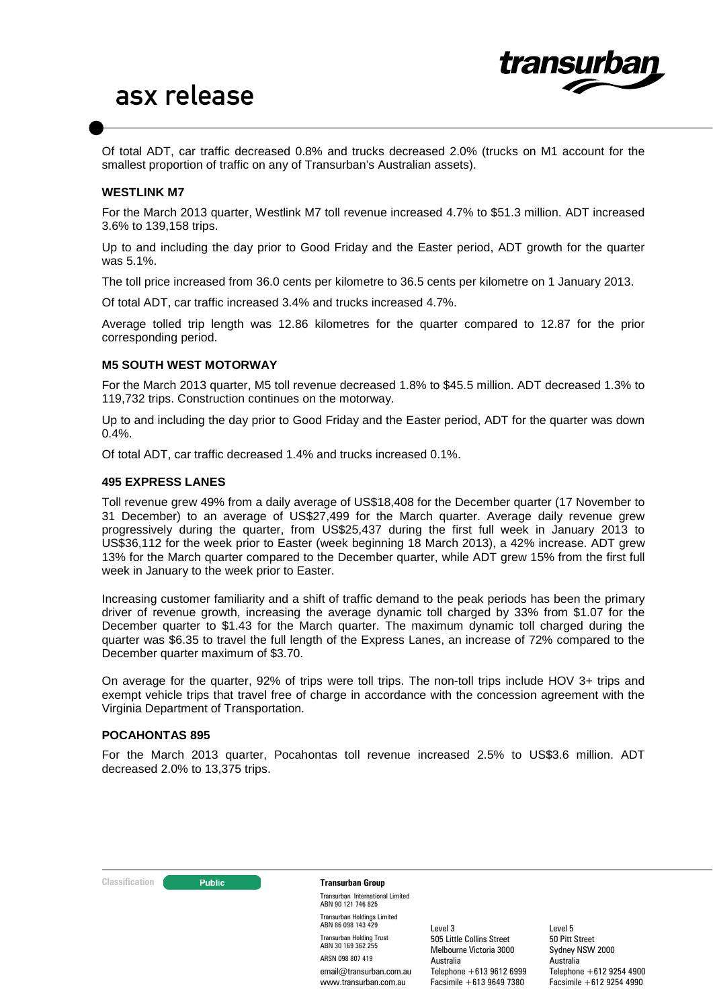

Of total ADT, car traffic decreased 0.8% and trucks decreased 2.0% (trucks on M1 account for the smallest proportion of traffic on any of Transurban's Australian assets).

### **WESTLINK M7**

For the March 2013 quarter, Westlink M7 toll revenue increased 4.7% to \$51.3 million. ADT increased 3.6% to 139,158 trips.

Up to and including the day prior to Good Friday and the Easter period, ADT growth for the quarter was 5.1%.

The toll price increased from 36.0 cents per kilometre to 36.5 cents per kilometre on 1 January 2013.

Of total ADT, car traffic increased 3.4% and trucks increased 4.7%.

Average tolled trip length was 12.86 kilometres for the quarter compared to 12.87 for the prior corresponding period.

#### **M5 SOUTH WEST MOTORWAY**

For the March 2013 quarter, M5 toll revenue decreased 1.8% to \$45.5 million. ADT decreased 1.3% to 119,732 trips. Construction continues on the motorway.

Up to and including the day prior to Good Friday and the Easter period, ADT for the quarter was down 0.4%.

Of total ADT, car traffic decreased 1.4% and trucks increased 0.1%.

#### **495 EXPRESS LANES**

Toll revenue grew 49% from a daily average of US\$18,408 for the December quarter (17 November to 31 December) to an average of US\$27,499 for the March quarter. Average daily revenue grew progressively during the quarter, from US\$25,437 during the first full week in January 2013 to US\$36,112 for the week prior to Easter (week beginning 18 March 2013), a 42% increase. ADT grew 13% for the March quarter compared to the December quarter, while ADT grew 15% from the first full week in January to the week prior to Easter.

Increasing customer familiarity and a shift of traffic demand to the peak periods has been the primary driver of revenue growth, increasing the average dynamic toll charged by 33% from \$1.07 for the December quarter to \$1.43 for the March quarter. The maximum dynamic toll charged during the quarter was \$6.35 to travel the full length of the Express Lanes, an increase of 72% compared to the December quarter maximum of \$3.70.

On average for the quarter, 92% of trips were toll trips. The non-toll trips include HOV 3+ trips and exempt vehicle trips that travel free of charge in accordance with the concession agreement with the Virginia Department of Transportation.

#### **POCAHONTAS 895**

For the March 2013 quarter, Pocahontas toll revenue increased 2.5% to US\$3.6 million. ADT decreased 2.0% to 13,375 trips.



Transurban International Limited ABN 90 121 746 825 Transurban Holdings Limited ABN 86 098 143 429 Transurban Holding Trust ABN 30 169 362 255 ARSN 098 807 419 email@transurban.com.au www.transurban.com.au

Level 3 505 Little Collins Street Melbourne Victoria 3000 Australia Telephone +613 9612 6999 Facsimile +613 9649 7380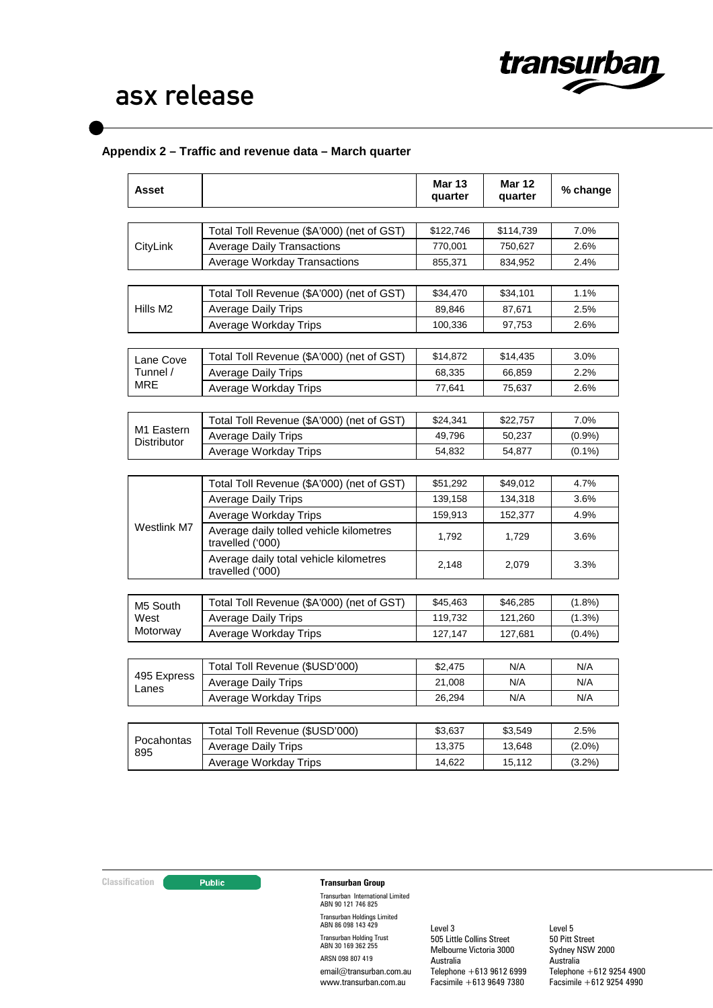

## **Appendix 2 – Traffic and revenue data – March quarter**

| CityLink             | Total Toll Revenue (\$A'000) (net of GST)<br><b>Average Daily Transactions</b><br><b>Average Workday Transactions</b><br>Total Toll Revenue (\$A'000) (net of GST)<br><b>Average Daily Trips</b><br>Average Workday Trips<br>Total Toll Revenue (\$A'000) (net of GST)<br><b>Average Daily Trips</b> | \$122,746<br>770,001<br>855,371<br>\$34,470<br>89,846<br>100,336<br>\$14,872 | \$114,739<br>750,627<br>834,952<br>\$34,101<br>87,671<br>97,753<br>\$14,435 | 7.0%<br>2.6%<br>2.4%<br>1.1%<br>2.5%<br>2.6% |
|----------------------|------------------------------------------------------------------------------------------------------------------------------------------------------------------------------------------------------------------------------------------------------------------------------------------------------|------------------------------------------------------------------------------|-----------------------------------------------------------------------------|----------------------------------------------|
|                      |                                                                                                                                                                                                                                                                                                      |                                                                              |                                                                             |                                              |
|                      |                                                                                                                                                                                                                                                                                                      |                                                                              |                                                                             |                                              |
|                      |                                                                                                                                                                                                                                                                                                      |                                                                              |                                                                             |                                              |
|                      |                                                                                                                                                                                                                                                                                                      |                                                                              |                                                                             |                                              |
|                      |                                                                                                                                                                                                                                                                                                      |                                                                              |                                                                             |                                              |
| Hills M <sub>2</sub> |                                                                                                                                                                                                                                                                                                      |                                                                              |                                                                             |                                              |
|                      |                                                                                                                                                                                                                                                                                                      |                                                                              |                                                                             |                                              |
|                      |                                                                                                                                                                                                                                                                                                      |                                                                              |                                                                             |                                              |
| Lane Cove            |                                                                                                                                                                                                                                                                                                      |                                                                              |                                                                             | 3.0%                                         |
| Tunnel /             |                                                                                                                                                                                                                                                                                                      | 68,335                                                                       | 66,859                                                                      | 2.2%                                         |
| MRE                  | Average Workday Trips                                                                                                                                                                                                                                                                                | 77,641                                                                       | 75,637                                                                      | 2.6%                                         |
|                      |                                                                                                                                                                                                                                                                                                      |                                                                              |                                                                             |                                              |
| M1 Eastern           | Total Toll Revenue (\$A'000) (net of GST)                                                                                                                                                                                                                                                            | \$24,341                                                                     | \$22,757                                                                    | 7.0%                                         |
| Distributor          | <b>Average Daily Trips</b>                                                                                                                                                                                                                                                                           | 49,796                                                                       | 50,237                                                                      | (0.9%                                        |
|                      | Average Workday Trips                                                                                                                                                                                                                                                                                | 54,832                                                                       | 54,877                                                                      | $(0.1\%)$                                    |
|                      |                                                                                                                                                                                                                                                                                                      |                                                                              |                                                                             |                                              |
|                      | Total Toll Revenue (\$A'000) (net of GST)                                                                                                                                                                                                                                                            | \$51,292                                                                     | \$49,012                                                                    | 4.7%                                         |
|                      | <b>Average Daily Trips</b>                                                                                                                                                                                                                                                                           | 139,158                                                                      | 134,318                                                                     | 3.6%                                         |
|                      | Average Workday Trips                                                                                                                                                                                                                                                                                | 159,913                                                                      | 152,377                                                                     | 4.9%                                         |
| Westlink M7          | Average daily tolled vehicle kilometres<br>travelled ('000)                                                                                                                                                                                                                                          | 1,792                                                                        | 1,729                                                                       | 3.6%                                         |
|                      | Average daily total vehicle kilometres<br>travelled ('000)                                                                                                                                                                                                                                           | 2,148                                                                        | 2,079                                                                       | 3.3%                                         |
|                      |                                                                                                                                                                                                                                                                                                      |                                                                              |                                                                             |                                              |
| M5 South             | Total Toll Revenue (\$A'000) (net of GST)                                                                                                                                                                                                                                                            | \$45,463                                                                     | \$46,285                                                                    | $(1.8\%)$                                    |
| West                 | <b>Average Daily Trips</b>                                                                                                                                                                                                                                                                           | 119,732                                                                      | 121,260                                                                     | $(1.3\%)$                                    |
| Motorway             | Average Workday Trips                                                                                                                                                                                                                                                                                | 127,147                                                                      | 127,681                                                                     | (0.4%                                        |
|                      |                                                                                                                                                                                                                                                                                                      |                                                                              |                                                                             |                                              |
| 495 Express          | Total Toll Revenue (\$USD'000)                                                                                                                                                                                                                                                                       | \$2,475                                                                      | N/A                                                                         | N/A                                          |
| Lanes                | <b>Average Daily Trips</b>                                                                                                                                                                                                                                                                           | 21,008                                                                       | N/A                                                                         | N/A                                          |
|                      | Average Workday Trips                                                                                                                                                                                                                                                                                | 26,294                                                                       | N/A                                                                         | N/A                                          |
|                      | Total Toll Revenue (\$USD'000)                                                                                                                                                                                                                                                                       | \$3,637                                                                      | \$3,549                                                                     | 2.5%                                         |
| Pocahontas           | <b>Average Daily Trips</b>                                                                                                                                                                                                                                                                           | 13,375                                                                       | 13,648                                                                      | $(2.0\%)$                                    |
| 895                  | Average Workday Trips                                                                                                                                                                                                                                                                                | 14,622                                                                       | 15,112                                                                      | $(3.2\%)$                                    |

### **Classification Transurban Group**

Transurban International Limited ABN 90 121 746 825 Transurban Holdings Limited ABN 86 098 143 429 Transurban Holding Trust ABN 30 169 362 255 ARSN 098 807 419 email@transurban.com.au www.transurban.com.au

Level 3 505 Little Collins Street Melbourne Victoria 3000 Australia Telephone +613 9612 6999 Facsimile +613 9649 7380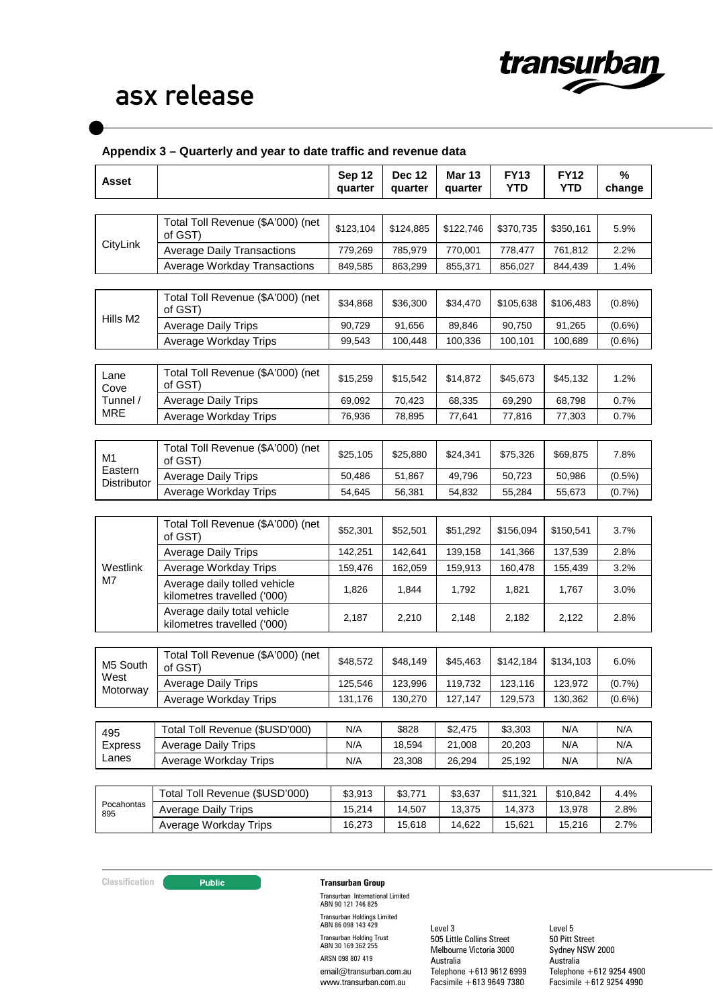

### **Appendix 3 – Quarterly and year to date traffic and revenue data**

| <b>Asset</b>           |                                                             | Sep 12<br>quarter | <b>Dec 12</b><br>quarter | <b>Mar 13</b><br>quarter | <b>FY13</b><br><b>YTD</b> | <b>FY12</b><br><b>YTD</b> | %<br>change |
|------------------------|-------------------------------------------------------------|-------------------|--------------------------|--------------------------|---------------------------|---------------------------|-------------|
|                        |                                                             |                   |                          |                          |                           |                           |             |
|                        | Total Toll Revenue (\$A'000) (net<br>of GST)                | \$123,104         | \$124,885                | \$122,746                | \$370,735                 | \$350,161                 | 5.9%        |
| CityLink               | <b>Average Daily Transactions</b>                           | 779,269           | 785,979                  | 770,001                  | 778,477                   | 761,812                   | 2.2%        |
|                        | Average Workday Transactions                                | 849,585           | 863,299                  | 855,371                  | 856,027                   | 844,439                   | 1.4%        |
|                        |                                                             |                   |                          |                          |                           |                           |             |
| Hills M <sub>2</sub>   | Total Toll Revenue (\$A'000) (net<br>of GST)                | \$34,868          | \$36,300                 | \$34,470                 | \$105,638                 | \$106,483                 | $(0.8\%)$   |
|                        | <b>Average Daily Trips</b>                                  | 90,729            | 91,656                   | 89,846                   | 90,750                    | 91,265                    | $(0.6\%)$   |
|                        | Average Workday Trips                                       | 99,543            | 100,448                  | 100,336                  | 100,101                   | 100,689                   | $(0.6\%)$   |
|                        |                                                             |                   |                          |                          |                           |                           |             |
| Lane<br>Cove           | Total Toll Revenue (\$A'000) (net<br>of GST)                | \$15,259          | \$15,542                 | \$14,872                 | \$45,673                  | \$45,132                  | 1.2%        |
| Tunnel /               | <b>Average Daily Trips</b>                                  | 69,092            | 70,423                   | 68,335                   | 69,290                    | 68,798                    | 0.7%        |
| <b>MRE</b>             | Average Workday Trips                                       | 76,936            | 78,895                   | 77,641                   | 77,816                    | 77,303                    | 0.7%        |
|                        |                                                             |                   |                          |                          |                           |                           |             |
| M1                     | Total Toll Revenue (\$A'000) (net<br>of GST)                | \$25,105          | \$25,880                 | \$24,341                 | \$75,326                  | \$69,875                  | 7.8%        |
| Eastern<br>Distributor | <b>Average Daily Trips</b>                                  | 50,486            | 51,867                   | 49,796                   | 50,723                    | 50,986                    | $(0.5\%)$   |
|                        | Average Workday Trips                                       | 54,645            | 56,381                   | 54,832                   | 55,284                    | 55,673                    | $(0.7\%)$   |
|                        |                                                             |                   |                          |                          |                           |                           |             |
| Westlink<br>M7         | Total Toll Revenue (\$A'000) (net<br>of GST)                | \$52,301          | \$52,501                 | \$51,292                 | \$156,094                 | \$150,541                 | 3.7%        |
|                        | <b>Average Daily Trips</b>                                  | 142,251           | 142,641                  | 139,158                  | 141,366                   | 137,539                   | 2.8%        |
|                        | Average Workday Trips                                       | 159,476           | 162,059                  | 159,913                  | 160,478                   | 155,439                   | 3.2%        |
|                        | Average daily tolled vehicle<br>kilometres travelled ('000) | 1,826             | 1,844                    | 1,792                    | 1,821                     | 1,767                     | 3.0%        |
|                        | Average daily total vehicle<br>kilometres travelled ('000)  | 2,187             | 2,210                    | 2,148                    | 2,182                     | 2,122                     | 2.8%        |
|                        |                                                             |                   |                          |                          |                           |                           |             |
| M5 South               | Total Toll Revenue (\$A'000) (net<br>of GST)                | \$48,572          | \$48,149                 | \$45,463                 | \$142,184                 | \$134,103                 | 6.0%        |
| West<br>Motorway       | <b>Average Daily Trips</b>                                  | 125,546           | 123,996                  | 119,732                  | 123,116                   | 123,972                   | (0.7%       |
|                        | Average Workday Trips                                       | 131,176           | 130,270                  | 127,147                  | 129,573                   | 130,362                   | $(0.6\%)$   |
|                        |                                                             |                   |                          |                          |                           |                           |             |
| 495<br><b>Express</b>  | Total Toll Revenue (\$USD'000)                              | N/A               | \$828                    | \$2,475                  | \$3,303                   | N/A                       | N/A         |
|                        | <b>Average Daily Trips</b>                                  | N/A               | 18,594                   | 21,008                   | 20,203                    | N/A                       | N/A         |
| Lanes                  | Average Workday Trips                                       | N/A               | 23,308                   | 26,294                   | 25,192                    | N/A                       | N/A         |
|                        |                                                             |                   |                          |                          |                           |                           |             |
|                        | Total Toll Revenue (\$USD'000)                              | \$3,913           | \$3,771                  | \$3,637                  | \$11,321                  | \$10,842                  | 4.4%        |
| Pocahontas<br>895      | <b>Average Daily Trips</b>                                  | 15,214            | 14,507                   | 13,375                   | 14,373                    | 13,978                    | 2.8%        |
|                        | Average Workday Trips                                       | 16,273            | 15,618                   | 14,622                   | 15,621                    | 15,216                    | 2.7%        |

### **Classification Transurban Group**

Transurban International Limited ABN 90 121 746 825 Transurban Holdings Limited ABN 86 098 143 429 Transurban Holding Trust ABN 30 169 362 255 ARSN 098 807 419 email@transurban.com.au www.transurban.com.au

Level 3 505 Little Collins Street Melbourne Victoria 3000 Australia Telephone +613 9612 6999 Facsimile +613 9649 7380